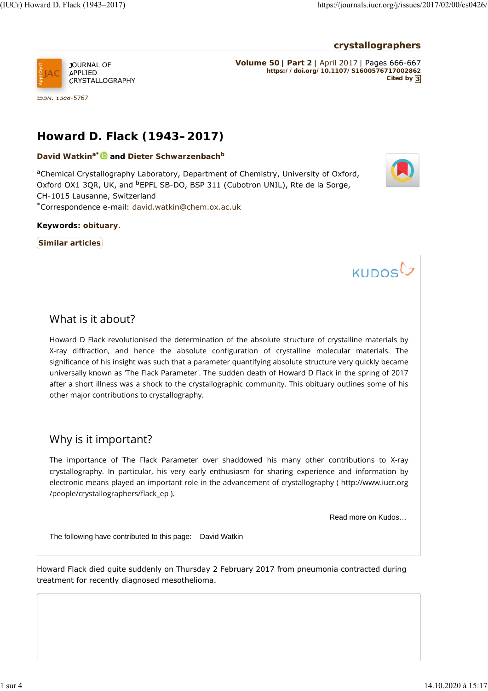### **crystallographers**



CRYSTALLOGRAPHY

ISSN: 1600-5767

**Volume 50** | **Part 2** | April 2017 | Pages 666-667 **https://doi.org/10.1107/S1600576717002862 Cited by 3**

# **Howard D. Flack (1943–2017)**

David Watkin<sup>a\* **b** and Dieter Schwarzenbach<sup>b</sup></sup>

aChemical Crystallography Laboratory, Department of Chemistry, University of Oxford, Oxford OX1 3QR, UK, and <sup>b</sup>EPFL SB-DO, BSP 311 (Cubotron UNIL), Rte de la Sorge, CH-1015 Lausanne, Switzerland Correspondence e-mail: david.watkin@chem.ox.ac.uk \*

#### **Keywords: obituary**.

**Similar articles**



KUDOSL

## What is it about?

Howard D Flack revolutionised the determination of the absolute structure of crystalline materials by X-ray diffraction, and hence the absolute configuration of crystalline molecular materials. The significance of his insight was such that a parameter quantifying absolute structure very quickly became universally known as 'The Flack Parameter'. The sudden death of Howard D Flack in the spring of 2017 after a short illness was a shock to the crystallographic community. This obituary outlines some of his other major contributions to crystallography.

### Why is it important?

The importance of The Flack Parameter over shaddowed his many other contributions to X-ray crystallography. In particular, his very early enthusiasm for sharing experience and information by electronic means played an important role in the advancement of crystallography ( http://www.iucr.org /people/crystallographers/flack\_ep ).

Read more on Kudos…

The following have contributed to this page: David Watkin

Howard Flack died quite suddenly on Thursday 2 February 2017 from pneumonia contracted during treatment for recently diagnosed mesothelioma.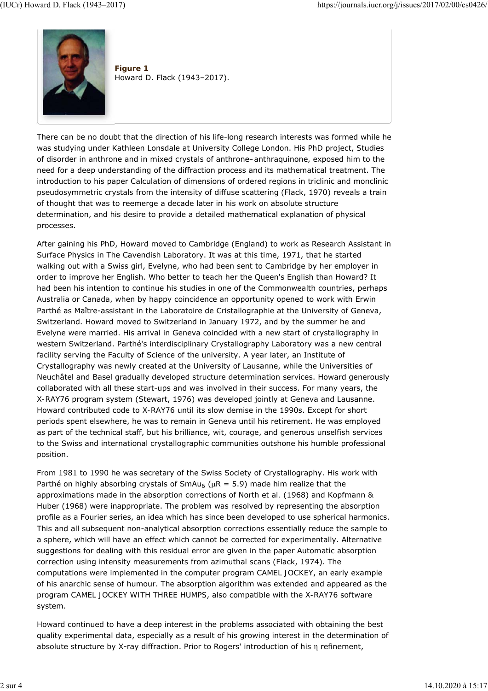

**Figure 1** Howard D. Flack (1943–2017).

There can be no doubt that the direction of his life-long research interests was formed while he was studying under Kathleen Lonsdale at University College London. His PhD project, *Studies of disorder in anthrone and in mixed crystals of anthrone–anthraquinone*, exposed him to the need for a deep understanding of the diffraction process and its mathematical treatment. The introduction to his paper *Calculation of dimensions of ordered regions in triclinic and monclinic pseudosymmetric crystals from the intensity of diffuse scattering* (Flack, 1970) reveals a train of thought that was to reemerge a decade later in his work on absolute structure determination, and his desire to provide a detailed mathematical explanation of physical processes.

After gaining his PhD, Howard moved to Cambridge (England) to work as Research Assistant in Surface Physics in The Cavendish Laboratory. It was at this time, 1971, that he started walking out with a Swiss girl, Evelyne, who had been sent to Cambridge by her employer in order to improve her English. Who better to teach her the Queen's English than Howard? It had been his intention to continue his studies in one of the Commonwealth countries, perhaps Australia or Canada, when by happy coincidence an opportunity opened to work with Erwin Parthé as Maître-assistant in the Laboratoire de Cristallographie at the University of Geneva, Switzerland. Howard moved to Switzerland in January 1972, and by the summer he and Evelyne were married. His arrival in Geneva coincided with a new start of crystallography in western Switzerland. Parthé's interdisciplinary Crystallography Laboratory was a new central facility serving the Faculty of Science of the university. A year later, an Institute of Crystallography was newly created at the University of Lausanne, while the Universities of Neuchâtel and Basel gradually developed structure determination services. Howard generously collaborated with all these start-ups and was involved in their success. For many years, the *X-RAY76* program system (Stewart, 1976) was developed jointly at Geneva and Lausanne. Howard contributed code to *X-RAY76* until its slow demise in the 1990s. Except for short periods spent elsewhere, he was to remain in Geneva until his retirement. He was employed as part of the technical staff, but his brilliance, wit, courage, and generous unselfish services to the Swiss and international crystallographic communities outshone his humble professional position.

From 1981 to 1990 he was secretary of the Swiss Society of Crystallography. His work with Parthé on highly absorbing crystals of  $SmAu_6$  ( $\mu$ R = 5.9) made him realize that the approximations made in the absorption corrections of North *et al.* (1968) and Kopfmann & Huber (1968) were inappropriate. The problem was resolved by representing the absorption profile as a Fourier series, an idea which has since been developed to use spherical harmonics. This and all subsequent non-analytical absorption corrections essentially reduce the sample to a sphere, which will have an effect which cannot be corrected for experimentally. Alternative suggestions for dealing with this residual error are given in the paper *Automatic absorption correction using intensity measurements from azimuthal scans* (Flack, 1974). The computations were implemented in the computer program *CAMEL JOCKEY*, an early example of his anarchic sense of humour. The absorption algorithm was extended and appeared as the program *CAMEL JOCKEY WITH THREE HUMPS*, also compatible with the *X-RAY76* software system.

Howard continued to have a deep interest in the problems associated with obtaining the best quality experimental data, especially as a result of his growing interest in the determination of absolute structure by X-ray diffraction. Prior to Rogers' introduction of his η refinement,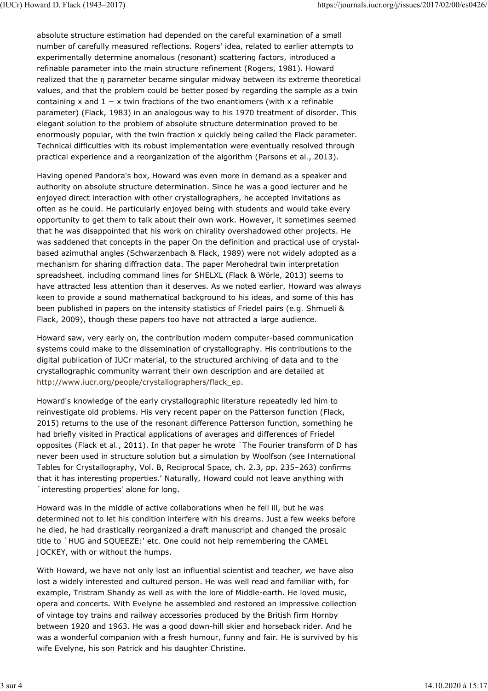absolute structure estimation had depended on the careful examination of a small number of carefully measured reflections. Rogers' idea, related to earlier attempts to experimentally determine anomalous (resonant) scattering factors, introduced a refinable parameter into the main structure refinement (Rogers, 1981). Howard realized that the η parameter became singular midway between its extreme theoretical values, and that the problem could be better posed by regarding the sample as a twin containing *x* and 1 − *x* twin fractions of the two enantiomers (with *x* a refinable parameter) (Flack, 1983) in an analogous way to his 1970 treatment of disorder. This elegant solution to the problem of absolute structure determination proved to be enormously popular, with the twin fraction *x* quickly being called the Flack parameter. Technical difficulties with its robust implementation were eventually resolved through practical experience and a reorganization of the algorithm (Parsons *et al.*, 2013).

Having opened Pandora's box, Howard was even more in demand as a speaker and authority on absolute structure determination. Since he was a good lecturer and he enjoyed direct interaction with other crystallographers, he accepted invitations as often as he could. He particularly enjoyed being with students and would take every opportunity to get them to talk about their own work. However, it sometimes seemed that he was disappointed that his work on chirality overshadowed other projects. He was saddened that concepts in the paper *On the definition and practical use of crystalbased azimuthal angles* (Schwarzenbach & Flack, 1989) were not widely adopted as a mechanism for sharing diffraction data. The paper *Merohedral twin interpretation spreadsheet, including command lines for SHELXL* (Flack & Wörle, 2013) seems to have attracted less attention than it deserves. As we noted earlier, Howard was always keen to provide a sound mathematical background to his ideas, and some of this has been published in papers on the intensity statistics of Friedel pairs (*e.g.* Shmueli & Flack, 2009), though these papers too have not attracted a large audience.

Howard saw, very early on, the contribution modern computer-based communication systems could make to the dissemination of crystallography. His contributions to the digital publication of IUCr material, to the structured archiving of data and to the crystallographic community warrant their own description and are detailed at http://www.iucr.org/people/crystallographers/flack\_ep.

Howard's knowledge of the early crystallographic literature repeatedly led him to reinvestigate old problems. His very recent paper on the Patterson function (Flack, 2015) returns to the use of the resonant difference Patterson function, something he had briefly visited in *Practical applications of averages and differences of Friedel opposites* (Flack *et al.*, 2011). In that paper he wrote `The Fourier transform of *D* has never been used in structure solution but a simulation by Woolfson (see *International Tables for Crystallography*, Vol. B, *Reciprocal Space*, ch. 2.3, pp. 235–263) confirms that it has interesting properties.' Naturally, Howard could not leave anything with `interesting properties' alone for long.

Howard was in the middle of active collaborations when he fell ill, but he was determined not to let his condition interfere with his dreams. Just a few weeks before he died, he had drastically reorganized a draft manuscript and changed the prosaic title to `*HUG and SQUEEZE*:' *etc.* One could not help remembering the *CAMEL JOCKEY*, with or without the humps.

With Howard, we have not only lost an influential scientist and teacher, we have also lost a widely interested and cultured person. He was well read and familiar with, for example, Tristram Shandy as well as with the lore of Middle-earth. He loved music, opera and concerts. With Evelyne he assembled and restored an impressive collection of vintage toy trains and railway accessories produced by the British firm Hornby between 1920 and 1963. He was a good down-hill skier and horseback rider. And he was a wonderful companion with a fresh humour, funny and fair. He is survived by his wife Evelyne, his son Patrick and his daughter Christine.